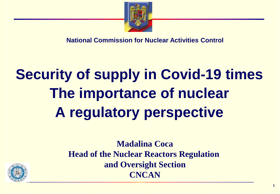

**National Commission for Nuclear Activities Control**

## **Security of supply in Covid-19 times The importance of nuclear A regulatory perspective**



**Madalina Coca Head of the Nuclear Reactors Regulation and Oversight Section CNCAN**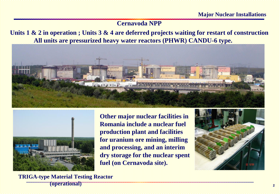## **Cernavoda NPP**

**Units 1 & 2 in operation ; Units 3 & 4 are deferred projects waiting for restart of construction All units are pressurized heavy water reactors (PHWR) CANDU-6 type.** 





**Other major nuclear facilities in Romania include a nuclear fuel production plant and facilities for uranium ore mining, milling and processing, and an interim dry storage for the nuclear spent fuel (on Cernavoda site).**



**TRIGA-type Material Testing Reactor (operational)**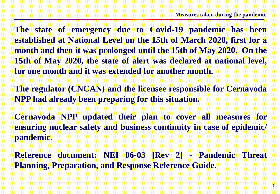**The state of emergency due to Covid-19 pandemic has been established at National Level on the 15th of March 2020, first for a month and then it was prolonged until the 15th of May 2020. On the 15th of May 2020, the state of alert was declared at national level, for one month and it was extended for another month.**

**The regulator (CNCAN) and the licensee responsible for Cernavoda NPP had already been preparing for this situation.**

**Cernavoda NPP updated their plan to cover all measures for ensuring nuclear safety and business continuity in case of epidemic/ pandemic.**

**Reference document: NEI 06-03 [Rev 2] - Pandemic Threat Planning, Preparation, and Response Reference Guide.**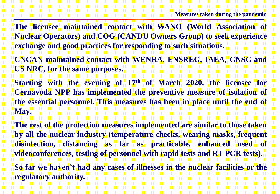**The licensee maintained contact with WANO (World Association of Nuclear Operators) and COG (CANDU Owners Group) to seek experience exchange and good practices for responding to such situations.**

**CNCAN maintained contact with WENRA, ENSREG, IAEA, CNSC and US NRC, for the same purposes.**

**Starting with the evening of 17th of March 2020, the licensee for Cernavoda NPP has implemented the preventive measure of isolation of the essential personnel. This measures has been in place until the end of May.**

**The rest of the protection measures implemented are similar to those taken by all the nuclear industry (temperature checks, wearing masks, frequent disinfection, distancing as far as practicable, enhanced used of videoconferences, testing of personnel with rapid tests and RT-PCR tests).**

**So far we haven't had any cases of illnesses in the nuclear facilities or the regulatory authority.**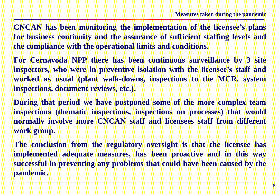**CNCAN has been monitoring the implementation of the licensee's plans for business continuity and the assurance of sufficient staffing levels and the compliance with the operational limits and conditions.**

**For Cernavoda NPP there has been continuous surveillance by 3 site inspectors, who were in preventive isolation with the licensee's staff and worked as usual (plant walk-downs, inspections to the MCR, system inspections, document reviews, etc.).**

**During that period we have postponed some of the more complex team inspections (thematic inspections, inspections on processes) that would normally involve more CNCAN staff and licensees staff from different work group.**

**The conclusion from the regulatory oversight is that the licensee has implemented adequate measures, has been proactive and in this way successful in preventing any problems that could have been caused by the pandemic.**